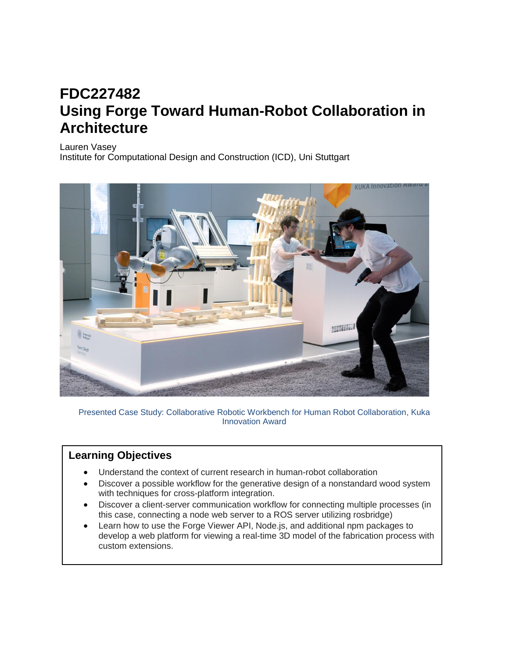## **FDC227482 Using Forge Toward Human-Robot Collaboration in Architecture**

Lauren Vasey

Institute for Computational Design and Construction (ICD), Uni Stuttgart



Presented Case Study: Collaborative Robotic Workbench for Human Robot Collaboration, Kuka Innovation Award

## **Learning Objectives**

- Understand the context of current research in human-robot collaboration
- Discover a possible workflow for the generative design of a nonstandard wood system with techniques for cross-platform integration.
- Discover a client-server communication workflow for connecting multiple processes (in this case, connecting a node web server to a ROS server utilizing rosbridge)
- Learn how to use the Forge Viewer API, Node.js, and additional npm packages to develop a web platform for viewing a real-time 3D model of the fabrication process with custom extensions.